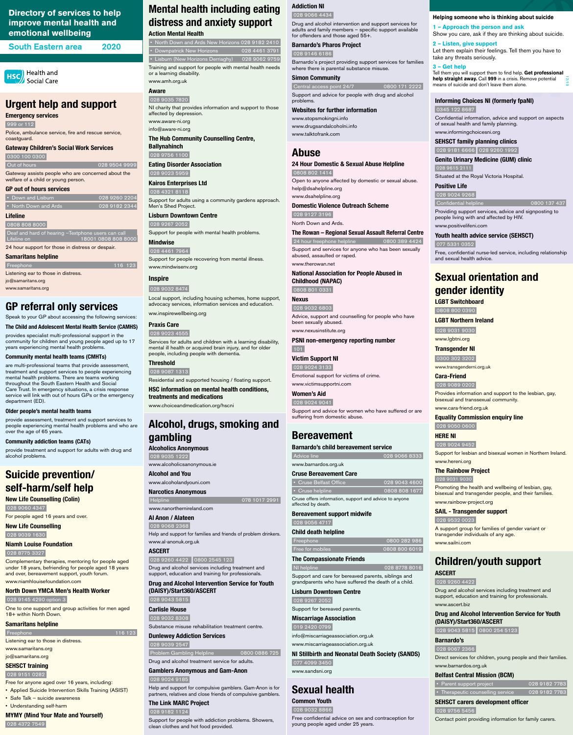# **Mental health including eating distress and anxiety support**

**Action Mental Health**  • North Down and Ards New Horizons 028 9182 2410 • Downpatrick New Horizons 028 4461 3791 • Lisburn (New Horizons Derriaghy) 028 9062 9759 Training and support for people with mental health needs

or a learning disability. www.amh.org.uk

# **Aware**

 028 9035 7820 NI charity that provides information and support to those affected by depression. www.aware-ni.org

info@aware-ni.org

# **The Hub Community Counselling Centre,**

**Ballynahinch** 028 9756 1100

**Eating Disorder Association** 

 028 9023 5959 **Kairos Enterprises Ltd**

# 028 4321 8118

Support for adults using a community gardens approach. Men's Shed Project.

## **Lisburn Downtown Centre**

 028 9267 2052 Support for people with mental health problems.

**Mindwise**  028 4461 7964 Support for people recovering from mental illness.

www.mindwisenv.org

# **Inspire** 028 9032 8474

Local support, including housing schemes, home support, advocacy services, information services and education. ww.inspirewellbeing.org

# **Praxis Care**

028 9023 4555

Services for adults and children with a learning disability, mental ill health or acquired brain injury, and for older people, including people with dementia.

# **Threshold**

 028 9087 1313 Residential and supported housing / floating support.

**HSC information on mental health conditions, treatments and medications** 

www.choiceandmedication.org/hscni

# **Alcohol, drugs, smoking and gambling**

**Alcoholics Anonymous**  028 9035 1222 www.alcoholicsanonymous.ie

**Alcohol and You**

# www.alcoholandyouni.com

**Narcotics Anonymous** Helpline 078 1017 2991 www.nanorthernireland.com

# **Al Anon / Alateen**

 028 9068 2368 Help and support for families and friends of problem drinkers. www.al-anonuk.org.uk

# **ASCERT**

 028 9260 4422 0800 2545 123 Drug and alcohol services including treatment and

support, education and training for professionals.

**Drug and Alcohol Intervention Service for Youth (DAISY)/Start360/ASCERT**

#### 028 9043 5815

#### **Carlisle House**

028 9032 8308

116 123

Substance misuse rehabilitation treatment centre.

# **Dunlewey Addiction Services**

• Cruse Belfast Office 028 9043 4600 • Cruse helpline 0808 808 1677 Cruse offers information, support and advice to anyone

028 9039 2547

Problem Gambling Helpline 0800 0886 725

 Freephone 0800 282 986 Free for mobiles 600 0808 800 6019

Drug and alcohol treatment service for adults.

Support and care for bereaved parents, siblings and parents who have suffered the death o

## **Gamblers Anonymous and Gam-Anon**  028 9024 9185

Help and support for compulsive gamblers. Gam-Anon is for partners, relatives and close friends of compulsive gamblers.

# **The Link MARC Project**

#### 028 9182 1124

Support for people with addiction problems. Showers, clean clothes and hot food provided.

# **Addiction NI**

028 9066 4434

Drug and alcohol intervention and support services for adults and family members – specific support available for offenders and those aged 55+.

> Confidential helpline 0800 137 437 Providing support services, advice and signposting to

# **Barnardo's Pharos Project**

028 9146 6186

Barnardo's project providing support services for families where there is parental substance misuse.

# **Simon Community**

 Central access point 24/7 0800 171 2222 Support and advice for people with drug and alcohol problems.

**Websites for further information**

www.stopsmokingni.info www.drugsandalcoholni.info www.talktofrank.com

# **Abuse**

#### **24 Hour Domestic & Sexual Abuse Helpline** 0808 802 1414

Open to anyone affected by domestic or sexual abuse. help@dsahelpline.org www.dsahelpline.org

# **Domestic Violence Outreach Scheme**

028 9127 3196

North Down and Ards.

## **The Rowan – Regional Sexual Assault Referral Centre**

 24 hour freephone helpline 0800 389 4424 Support and services for anyone who has been sexually abused, assaulted or raped. www.therowan.net

**National Association for People Abused in Childhood (NAPAC)** 

0808 801 0331

# **Nexus**

028 9032 6803

**Out of hours 628 9504 9999** Gateway assists people who are concerned about the welfare of a child or young person.

> Advice, support and counselling for people who have been sexually abused. www.nexusinstitute.org

 0808 808 8000 Deaf and hard of hearing -Textphone users can call Lifeline on 18001 0808 808 8000

> **PSNI non-emergency reporting number**  101

# **Victim Support NI**

028 9024 3133

Emotional support for victims of crime. www.victimsupportni.com

Freephone 116 123 Listening ear to those in distress. jo@samaritans.org www.samaritans.org

# **Women's Aid**

 028 9024 9041 Support and advice for women who have suffered or are suffering from domestic abuse.

Advice line 2028 9066 8333

**Bereavement**

**Barnardo's child bereavement service**

www.barnardos.org.uk **Cruse Bereavement Care** 

affected by death.

**Bereavement support midwife**

 028 9056 4717 **Child death helpline**

**The Compassionate Friends** 

NI helpline 028 8778 8016

# **Lisburn Downtown Centre**

#### 028 9267 2052

Support for bereaved parents.

## **Miscarriage Association**

#### 019 2420 0799

info@miscarriageassociation.org.uk

www.miscarriageassociation.org.uk

### **NI Stillbirth and Neonatal Death Society (SANDS)**

077 4099 3450

www.sandsni.org

# **Sexual health**

## **Common Youth**

#### 028 9032 8866

Free confidential advice on sex and contraception for young people aged under 25 years.

**Informing Choices NI (formerly fpaNI)**

0345 122 8687

Confidential information, advice and support on aspects

of sexual health and family planning. www.informingchoicesni.org **SEHSCT family planning clinics**  028 9181 6666 028 9260 1992 **Genito Urinary Medicine (GUM) clinic** 

028 9615 2111

Situated at the Royal Victoria Hospital.

**Positive Life**  028 9024 9268

people living with and affected by HIV.

www.positivelifeni.com

**Youth health advice service (SEHSCT)** 

077 5331 0352

Free, confidential nurse-led service, including relationship

and sexual health advice.

**Sexual orientation and** 

**gender identity**

**LGBT Switchboard**  0808 800 0390 **LGBT Northern Ireland** 028 9031 9030 www.lgbtni.org **Transgender NI** 0300 302 3202 www.transgenderni.org.uk

**Cara-Friend**  028 9089 0202

Provides information and support to the lesbian, gay,

bisexual and transsexual community.

www.cara-friend.org.uk

**Equality Commission enquiry line** 

028 9050 0600

**HERE NI** 

028 9024 9452

Support for lesbian and bisexual women in Northern Ireland.

www.hereni.org

**The Rainbow Project**  028 9031 9030

Promoting the health and wellbeing of lesbian, gay, bisexual and transgender people, and their families.

www.rainbow-project.org **SAIL - Transgender support** 

028 9532 0023

A support group for families of gender variant or

transgender individuals of any age.

www.sailni.com

**Children/youth support**

**ASCERT** 

#### 028 9260 4422

Drug and alcohol services including treatment and support, education and training for professionals.

#### www.ascert.biz

# **Drug and Alcohol Intervention Service for Youth (DAISY)/Start360/ASCERT**

## 028 9043 5815 0800 254 5123

# **Barnardo's**

#### 028 9067 2366

Direct services for children, young people and their families. www.barnardos.org.uk

# **Belfast Central Mission (BCM)**

|  | • Parent support project |  |
|--|--------------------------|--|
|  |                          |  |

# 028 9182 7783

• Therapeutic counselling service 028 9182 7783

# **SEHSCT carers development officer**

#### 028 9756 5456

Contact point providing information for family carers.

# **Urgent help and support**

#### **Emergency services**

999 or 112

Police, ambulance service, fire and rescue service, coastguard.

#### **Gateway Children's Social Work Services**

0300 100 0300

## **GP out of hours services**

| • Down and Lisburn    | 028 9260 2204 |  |
|-----------------------|---------------|--|
| • North Down and Ards | 028 9182 2344 |  |

## **Lifeline**

24 hour support for those in distress or despair.

#### **Samaritans helpline**

# **GP referral only services**

Speak to your GP about accessing the following services:

**The Child and Adolescent Mental Health Service (CAMHS)** 

provides specialist multi-professional support in the community for children and young people aged up to 17 years experiencing mental health problems.

## **Community mental health teams (CMHTs)**

are multi-professional teams that provide assessment, treatment and support services to people experiencing mental health problems. There are teams working throughout the South Eastern Health and Social Care Trust. In emergency situations, a crisis response service will link with out of hours GPs or the emergency department (ED).

#### **Older people's mental health teams**

provide assessment, treatment and support services to people experiencing mental health problems and who are over the age of 65 years.

## **Community addiction teams (CATs)**

provide treatment and support for adults with drug and alcohol problems.

# **Suicide prevention/ self-harm/self help**

**New Life Counselling (Colin)**  028 9060 4347

For people aged 16 years and over.

# **New Life Counselling**  028 9039 1630

**Niamh Louise Foundation**

028 8775 3327

Complementary therapies, mentoring for people aged under 18 years, befriending for people aged 18 years and over, bereavement support, youth forum.

#### www.niamhlouisefoundation.com

# **North Down YMCA Men's Health Worker**

#### 028 9145 4290 option 3

One to one support and group activities for men aged 18+ within North Down.

# **Samaritans helpline**

Listening ear to those in distress.

www.samaritans.org

jo@samaritans.org

# **SEHSCT training**

# 028 9151 0282

Free for anyone aged over 16 years, including:

- Applied Suicide Intervention Skills Training (ASIST)
- Safe Talk suicide awareness
- Understanding self-harm

# **MYMY (Mind Your Mate and Yourself)**

## 028 4372 7549

# **Directory of services to help improve mental health and emotional wellbeing**

South Eastern area 2020

**HSC** Health and Social Care **Helping someone who is thinking about suicide**

**1 – Approach the person and ask**

Show you care, ask if they are thinking about suicide.

**2 – Listen, give support**

Let them explain their feelings. Tell them you have to

take any threats seriously.

**3 – Get help**

Tell them you will support them to find help. **Get professional help straight away.** Call **999** in a crisis. Remove potential

means of suicide and don't leave them alone.

12/19